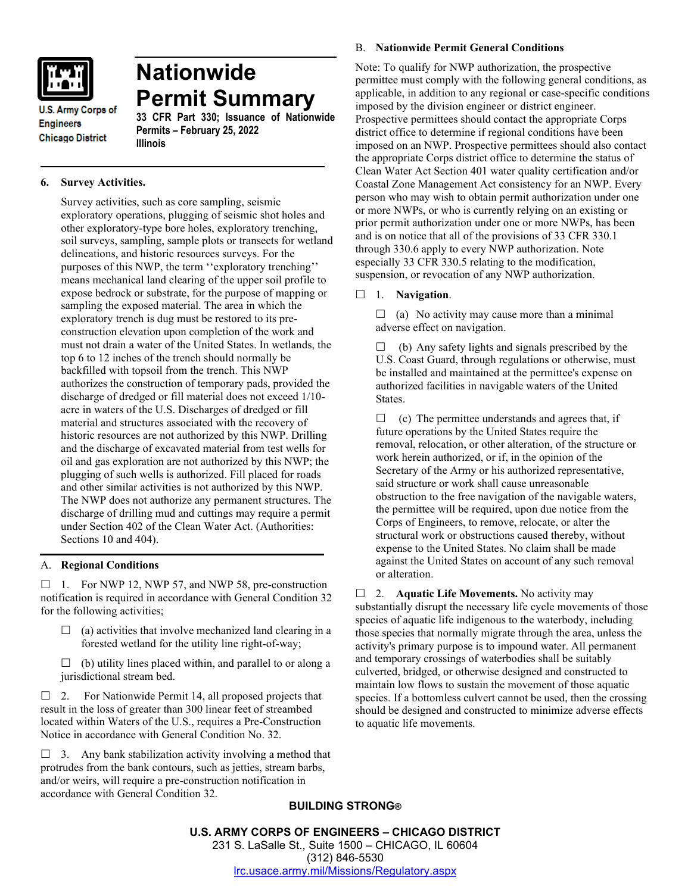

**Chicago District** 

**U.S. Army Corps of Engineers** 

**Nationwide Permit Summary**

**33 CFR Part 330; Issuance of Nationwide Permits – February 25, 2022 Illinois**

# **6. Survey Activities.**

Survey activities, such as core sampling, seismic exploratory operations, plugging of seismic shot holes and other exploratory-type bore holes, exploratory trenching, soil surveys, sampling, sample plots or transects for wetland delineations, and historic resources surveys. For the purposes of this NWP, the term ''exploratory trenching'' means mechanical land clearing of the upper soil profile to expose bedrock or substrate, for the purpose of mapping or sampling the exposed material. The area in which the exploratory trench is dug must be restored to its preconstruction elevation upon completion of the work and must not drain a water of the United States. In wetlands, the top 6 to 12 inches of the trench should normally be backfilled with topsoil from the trench. This NWP authorizes the construction of temporary pads, provided the discharge of dredged or fill material does not exceed 1/10 acre in waters of the U.S. Discharges of dredged or fill material and structures associated with the recovery of historic resources are not authorized by this NWP. Drilling and the discharge of excavated material from test wells for oil and gas exploration are not authorized by this NWP; the plugging of such wells is authorized. Fill placed for roads and other similar activities is not authorized by this NWP. The NWP does not authorize any permanent structures. The discharge of drilling mud and cuttings may require a permit under Section 402 of the Clean Water Act. (Authorities: Sections 10 and 404).

# A. **Regional Conditions**

 $\Box$  1. For NWP 12, NWP 57, and NWP 58, pre-construction notification is required in accordance with General Condition 32 for the following activities;

- $\Box$  (a) activities that involve mechanized land clearing in a forested wetland for the utility line right-of-way;
- $\Box$  (b) utility lines placed within, and parallel to or along a jurisdictional stream bed.

 $\Box$  2. For Nationwide Permit 14, all proposed projects that result in the loss of greater than 300 linear feet of streambed located within Waters of the U.S., requires a Pre-Construction Notice in accordance with General Condition No. 32.

 $\Box$  3. Any bank stabilization activity involving a method that protrudes from the bank contours, such as jetties, stream barbs, and/or weirs, will require a pre-construction notification in accordance with General Condition 32.

### B. **Nationwide Permit General Conditions**

Note: To qualify for NWP authorization, the prospective permittee must comply with the following general conditions, as applicable, in addition to any regional or case-specific conditions imposed by the division engineer or district engineer. Prospective permittees should contact the appropriate Corps district office to determine if regional conditions have been imposed on an NWP. Prospective permittees should also contact the appropriate Corps district office to determine the status of Clean Water Act Section 401 water quality certification and/or Coastal Zone Management Act consistency for an NWP. Every person who may wish to obtain permit authorization under one or more NWPs, or who is currently relying on an existing or prior permit authorization under one or more NWPs, has been and is on notice that all of the provisions of 33 CFR 330.1 through 330.6 apply to every NWP authorization. Note especially 33 CFR 330.5 relating to the modification, suspension, or revocation of any NWP authorization.

### 1. **Navigation**.

 $\Box$  (a) No activity may cause more than a minimal adverse effect on navigation.

 $\Box$  (b) Any safety lights and signals prescribed by the U.S. Coast Guard, through regulations or otherwise, must be installed and maintained at the permittee's expense on authorized facilities in navigable waters of the United States.

 $\Box$  (c) The permittee understands and agrees that, if future operations by the United States require the removal, relocation, or other alteration, of the structure or work herein authorized, or if, in the opinion of the Secretary of the Army or his authorized representative, said structure or work shall cause unreasonable obstruction to the free navigation of the navigable waters, the permittee will be required, upon due notice from the Corps of Engineers, to remove, relocate, or alter the structural work or obstructions caused thereby, without expense to the United States. No claim shall be made against the United States on account of any such removal or alteration.

□ 2. **Aquatic Life Movements.** No activity may substantially disrupt the necessary life cycle movements of those species of aquatic life indigenous to the waterbody, including those species that normally migrate through the area, unless the activity's primary purpose is to impound water. All permanent and temporary crossings of waterbodies shall be suitably culverted, bridged, or otherwise designed and constructed to maintain low flows to sustain the movement of those aquatic species. If a bottomless culvert cannot be used, then the crossing should be designed and constructed to minimize adverse effects to aquatic life movements.

# **BUILDING STRONG®**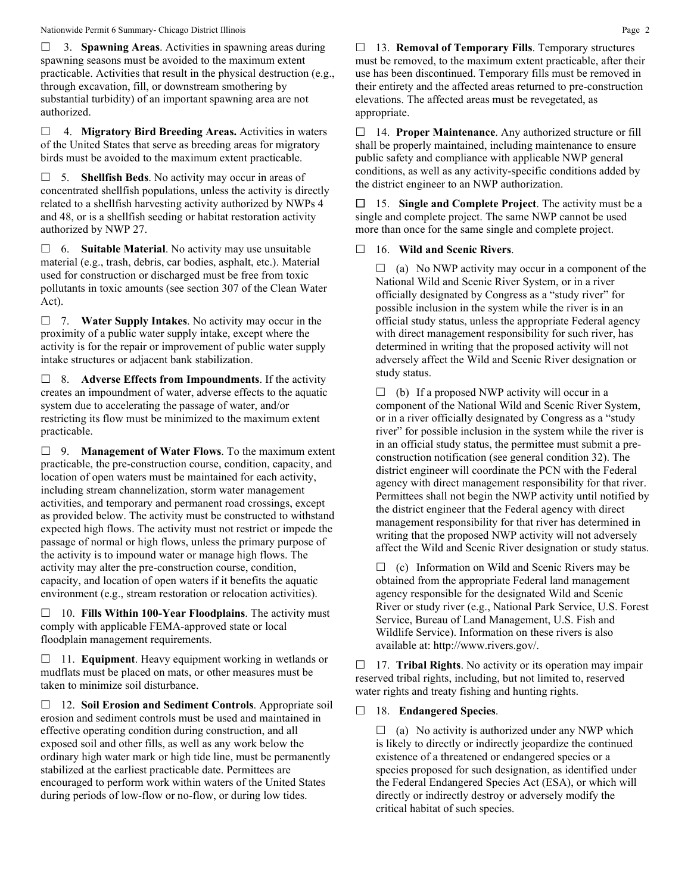#### Nationwide Permit 6 Summary- Chicago District Illinois **Page 2** 2

 3. **Spawning Areas**. Activities in spawning areas during spawning seasons must be avoided to the maximum extent practicable. Activities that result in the physical destruction (e.g., through excavation, fill, or downstream smothering by substantial turbidity) of an important spawning area are not authorized.

 4. **Migratory Bird Breeding Areas.** Activities in waters of the United States that serve as breeding areas for migratory birds must be avoided to the maximum extent practicable.

 5. **Shellfish Beds**. No activity may occur in areas of concentrated shellfish populations, unless the activity is directly related to a shellfish harvesting activity authorized by NWPs 4 and 48, or is a shellfish seeding or habitat restoration activity authorized by NWP 27.

 6. **Suitable Material**. No activity may use unsuitable material (e.g., trash, debris, car bodies, asphalt, etc.). Material used for construction or discharged must be free from toxic pollutants in toxic amounts (see section 307 of the Clean Water Act).

 7. **Water Supply Intakes**. No activity may occur in the proximity of a public water supply intake, except where the activity is for the repair or improvement of public water supply intake structures or adjacent bank stabilization.

 8. **Adverse Effects from Impoundments**. If the activity creates an impoundment of water, adverse effects to the aquatic system due to accelerating the passage of water, and/or restricting its flow must be minimized to the maximum extent practicable.

 9. **Management of Water Flows**. To the maximum extent practicable, the pre-construction course, condition, capacity, and location of open waters must be maintained for each activity, including stream channelization, storm water management activities, and temporary and permanent road crossings, except as provided below. The activity must be constructed to withstand expected high flows. The activity must not restrict or impede the passage of normal or high flows, unless the primary purpose of the activity is to impound water or manage high flows. The activity may alter the pre-construction course, condition, capacity, and location of open waters if it benefits the aquatic environment (e.g., stream restoration or relocation activities).

 10. **Fills Within 100-Year Floodplains**. The activity must comply with applicable FEMA-approved state or local floodplain management requirements.

□ 11. **Equipment**. Heavy equipment working in wetlands or mudflats must be placed on mats, or other measures must be taken to minimize soil disturbance.

 12. **Soil Erosion and Sediment Controls**. Appropriate soil erosion and sediment controls must be used and maintained in effective operating condition during construction, and all exposed soil and other fills, as well as any work below the ordinary high water mark or high tide line, must be permanently stabilized at the earliest practicable date. Permittees are encouraged to perform work within waters of the United States during periods of low-flow or no-flow, or during low tides.

 13. **Removal of Temporary Fills**. Temporary structures must be removed, to the maximum extent practicable, after their use has been discontinued. Temporary fills must be removed in their entirety and the affected areas returned to pre-construction elevations. The affected areas must be revegetated, as appropriate.

 14. **Proper Maintenance**. Any authorized structure or fill shall be properly maintained, including maintenance to ensure public safety and compliance with applicable NWP general conditions, as well as any activity-specific conditions added by the district engineer to an NWP authorization.

 15. **Single and Complete Project**. The activity must be a single and complete project. The same NWP cannot be used more than once for the same single and complete project.

# 16. **Wild and Scenic Rivers**.

 $\Box$  (a) No NWP activity may occur in a component of the National Wild and Scenic River System, or in a river officially designated by Congress as a "study river" for possible inclusion in the system while the river is in an official study status, unless the appropriate Federal agency with direct management responsibility for such river, has determined in writing that the proposed activity will not adversely affect the Wild and Scenic River designation or study status.

 $\Box$  (b) If a proposed NWP activity will occur in a component of the National Wild and Scenic River System, or in a river officially designated by Congress as a "study river" for possible inclusion in the system while the river is in an official study status, the permittee must submit a preconstruction notification (see general condition 32). The district engineer will coordinate the PCN with the Federal agency with direct management responsibility for that river. Permittees shall not begin the NWP activity until notified by the district engineer that the Federal agency with direct management responsibility for that river has determined in writing that the proposed NWP activity will not adversely affect the Wild and Scenic River designation or study status.

 $\Box$  (c) Information on Wild and Scenic Rivers may be obtained from the appropriate Federal land management agency responsible for the designated Wild and Scenic River or study river (e.g., National Park Service, U.S. Forest Service, Bureau of Land Management, U.S. Fish and Wildlife Service). Information on these rivers is also available at: http://www.rivers.gov/.

 17. **Tribal Rights**. No activity or its operation may impair reserved tribal rights, including, but not limited to, reserved water rights and treaty fishing and hunting rights.

# 18. **Endangered Species**.

 $\Box$  (a) No activity is authorized under any NWP which is likely to directly or indirectly jeopardize the continued existence of a threatened or endangered species or a species proposed for such designation, as identified under the Federal Endangered Species Act (ESA), or which will directly or indirectly destroy or adversely modify the critical habitat of such species.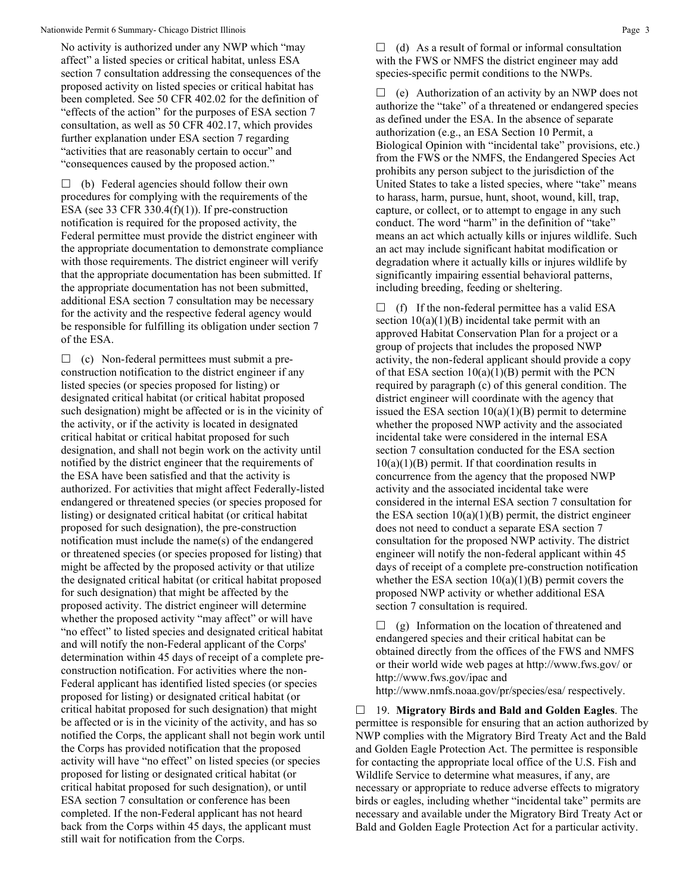#### Nationwide Permit 6 Summary- Chicago District Illinois **Page 3** and the state of the state of the state of the state of the state of the state of the state of the state of the state of the state of the state of the state o

No activity is authorized under any NWP which "may affect" a listed species or critical habitat, unless ESA section 7 consultation addressing the consequences of the proposed activity on listed species or critical habitat has been completed. See 50 CFR 402.02 for the definition of "effects of the action" for the purposes of ESA section 7 consultation, as well as 50 CFR 402.17, which provides further explanation under ESA section 7 regarding "activities that are reasonably certain to occur" and "consequences caused by the proposed action."

 $\Box$  (b) Federal agencies should follow their own procedures for complying with the requirements of the ESA (see 33 CFR 330.4 $(f)(1)$ ). If pre-construction notification is required for the proposed activity, the Federal permittee must provide the district engineer with the appropriate documentation to demonstrate compliance with those requirements. The district engineer will verify that the appropriate documentation has been submitted. If the appropriate documentation has not been submitted, additional ESA section 7 consultation may be necessary for the activity and the respective federal agency would be responsible for fulfilling its obligation under section 7 of the ESA.

 $\Box$  (c) Non-federal permittees must submit a preconstruction notification to the district engineer if any listed species (or species proposed for listing) or designated critical habitat (or critical habitat proposed such designation) might be affected or is in the vicinity of the activity, or if the activity is located in designated critical habitat or critical habitat proposed for such designation, and shall not begin work on the activity until notified by the district engineer that the requirements of the ESA have been satisfied and that the activity is authorized. For activities that might affect Federally-listed endangered or threatened species (or species proposed for listing) or designated critical habitat (or critical habitat proposed for such designation), the pre-construction notification must include the name(s) of the endangered or threatened species (or species proposed for listing) that might be affected by the proposed activity or that utilize the designated critical habitat (or critical habitat proposed for such designation) that might be affected by the proposed activity. The district engineer will determine whether the proposed activity "may affect" or will have "no effect" to listed species and designated critical habitat and will notify the non-Federal applicant of the Corps' determination within 45 days of receipt of a complete preconstruction notification. For activities where the non-Federal applicant has identified listed species (or species proposed for listing) or designated critical habitat (or critical habitat proposed for such designation) that might be affected or is in the vicinity of the activity, and has so notified the Corps, the applicant shall not begin work until the Corps has provided notification that the proposed activity will have "no effect" on listed species (or species proposed for listing or designated critical habitat (or critical habitat proposed for such designation), or until ESA section 7 consultation or conference has been completed. If the non-Federal applicant has not heard back from the Corps within 45 days, the applicant must still wait for notification from the Corps.

 $\Box$  (d) As a result of formal or informal consultation with the FWS or NMFS the district engineer may add species-specific permit conditions to the NWPs.

 $\Box$  (e) Authorization of an activity by an NWP does not authorize the "take" of a threatened or endangered species as defined under the ESA. In the absence of separate authorization (e.g., an ESA Section 10 Permit, a Biological Opinion with "incidental take" provisions, etc.) from the FWS or the NMFS, the Endangered Species Act prohibits any person subject to the jurisdiction of the United States to take a listed species, where "take" means to harass, harm, pursue, hunt, shoot, wound, kill, trap, capture, or collect, or to attempt to engage in any such conduct. The word "harm" in the definition of "take" means an act which actually kills or injures wildlife. Such an act may include significant habitat modification or degradation where it actually kills or injures wildlife by significantly impairing essential behavioral patterns, including breeding, feeding or sheltering.

 $\Box$  (f) If the non-federal permittee has a valid ESA section  $10(a)(1)(B)$  incidental take permit with an approved Habitat Conservation Plan for a project or a group of projects that includes the proposed NWP activity, the non-federal applicant should provide a copy of that ESA section  $10(a)(1)(B)$  permit with the PCN required by paragraph (c) of this general condition. The district engineer will coordinate with the agency that issued the ESA section  $10(a)(1)(B)$  permit to determine whether the proposed NWP activity and the associated incidental take were considered in the internal ESA section 7 consultation conducted for the ESA section  $10(a)(1)(B)$  permit. If that coordination results in concurrence from the agency that the proposed NWP activity and the associated incidental take were considered in the internal ESA section 7 consultation for the ESA section  $10(a)(1)(B)$  permit, the district engineer does not need to conduct a separate ESA section 7 consultation for the proposed NWP activity. The district engineer will notify the non-federal applicant within 45 days of receipt of a complete pre-construction notification whether the ESA section  $10(a)(1)(B)$  permit covers the proposed NWP activity or whether additional ESA section 7 consultation is required.

 $\Box$  (g) Information on the location of threatened and endangered species and their critical habitat can be obtained directly from the offices of the FWS and NMFS or their world wide web pages at http://www.fws.gov/ or http://www.fws.gov/ipac and http://www.nmfs.noaa.gov/pr/species/esa/ respectively.

 19. **Migratory Birds and Bald and Golden Eagles**. The permittee is responsible for ensuring that an action authorized by NWP complies with the Migratory Bird Treaty Act and the Bald and Golden Eagle Protection Act. The permittee is responsible for contacting the appropriate local office of the U.S. Fish and Wildlife Service to determine what measures, if any, are necessary or appropriate to reduce adverse effects to migratory birds or eagles, including whether "incidental take" permits are necessary and available under the Migratory Bird Treaty Act or Bald and Golden Eagle Protection Act for a particular activity.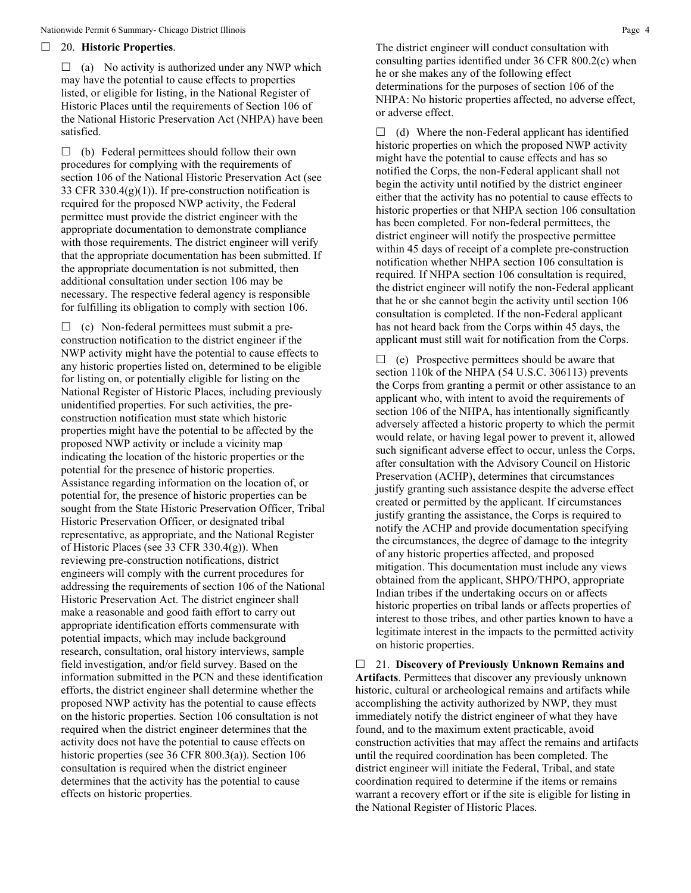#### 20. **Historic Properties**.

 $\Box$  (a) No activity is authorized under any NWP which may have the potential to cause effects to properties listed, or eligible for listing, in the National Register of Historic Places until the requirements of Section 106 of the National Historic Preservation Act (NHPA) have been satisfied.

 $\Box$  (b) Federal permittees should follow their own procedures for complying with the requirements of section 106 of the National Historic Preservation Act (see 33 CFR 330.4(g)(1)). If pre-construction notification is required for the proposed NWP activity, the Federal permittee must provide the district engineer with the appropriate documentation to demonstrate compliance with those requirements. The district engineer will verify that the appropriate documentation has been submitted. If the appropriate documentation is not submitted, then additional consultation under section 106 may be necessary. The respective federal agency is responsible for fulfilling its obligation to comply with section 106.

 $\Box$  (c) Non-federal permittees must submit a preconstruction notification to the district engineer if the NWP activity might have the potential to cause effects to any historic properties listed on, determined to be eligible for listing on, or potentially eligible for listing on the National Register of Historic Places, including previously unidentified properties. For such activities, the preconstruction notification must state which historic properties might have the potential to be affected by the proposed NWP activity or include a vicinity map indicating the location of the historic properties or the potential for the presence of historic properties. Assistance regarding information on the location of, or potential for, the presence of historic properties can be sought from the State Historic Preservation Officer, Tribal Historic Preservation Officer, or designated tribal representative, as appropriate, and the National Register of Historic Places (see 33 CFR 330.4(g)). When reviewing pre-construction notifications, district engineers will comply with the current procedures for addressing the requirements of section 106 of the National Historic Preservation Act. The district engineer shall make a reasonable and good faith effort to carry out appropriate identification efforts commensurate with potential impacts, which may include background research, consultation, oral history interviews, sample field investigation, and/or field survey. Based on the information submitted in the PCN and these identification efforts, the district engineer shall determine whether the proposed NWP activity has the potential to cause effects on the historic properties. Section 106 consultation is not required when the district engineer determines that the activity does not have the potential to cause effects on historic properties (see 36 CFR 800.3(a)). Section 106 consultation is required when the district engineer determines that the activity has the potential to cause effects on historic properties.

The district engineer will conduct consultation with consulting parties identified under 36 CFR 800.2(c) when he or she makes any of the following effect determinations for the purposes of section 106 of the NHPA: No historic properties affected, no adverse effect, or adverse effect.

 $\Box$  (d) Where the non-Federal applicant has identified historic properties on which the proposed NWP activity might have the potential to cause effects and has so notified the Corps, the non-Federal applicant shall not begin the activity until notified by the district engineer either that the activity has no potential to cause effects to historic properties or that NHPA section 106 consultation has been completed. For non-federal permittees, the district engineer will notify the prospective permittee within 45 days of receipt of a complete pre-construction notification whether NHPA section 106 consultation is required. If NHPA section 106 consultation is required, the district engineer will notify the non-Federal applicant that he or she cannot begin the activity until section 106 consultation is completed. If the non-Federal applicant has not heard back from the Corps within 45 days, the applicant must still wait for notification from the Corps.

 $\Box$  (e) Prospective permittees should be aware that section 110k of the NHPA (54 U.S.C. 306113) prevents the Corps from granting a permit or other assistance to an applicant who, with intent to avoid the requirements of section 106 of the NHPA, has intentionally significantly adversely affected a historic property to which the permit would relate, or having legal power to prevent it, allowed such significant adverse effect to occur, unless the Corps, after consultation with the Advisory Council on Historic Preservation (ACHP), determines that circumstances justify granting such assistance despite the adverse effect created or permitted by the applicant. If circumstances justify granting the assistance, the Corps is required to notify the ACHP and provide documentation specifying the circumstances, the degree of damage to the integrity of any historic properties affected, and proposed mitigation. This documentation must include any views obtained from the applicant, SHPO/THPO, appropriate Indian tribes if the undertaking occurs on or affects historic properties on tribal lands or affects properties of interest to those tribes, and other parties known to have a legitimate interest in the impacts to the permitted activity on historic properties.

 21. **Discovery of Previously Unknown Remains and Artifacts**. Permittees that discover any previously unknown historic, cultural or archeological remains and artifacts while accomplishing the activity authorized by NWP, they must immediately notify the district engineer of what they have found, and to the maximum extent practicable, avoid construction activities that may affect the remains and artifacts until the required coordination has been completed. The district engineer will initiate the Federal, Tribal, and state coordination required to determine if the items or remains warrant a recovery effort or if the site is eligible for listing in the National Register of Historic Places.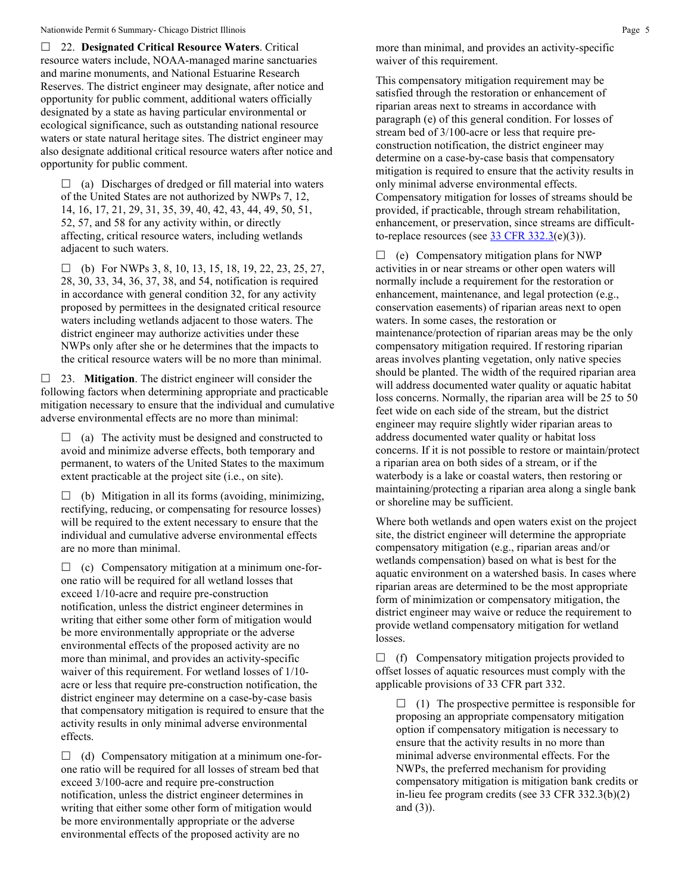22. **Designated Critical Resource Waters**. Critical resource waters include, NOAA-managed marine sanctuaries and marine monuments, and National Estuarine Research Reserves. The district engineer may designate, after notice and opportunity for public comment, additional waters officially designated by a state as having particular environmental or ecological significance, such as outstanding national resource waters or state natural heritage sites. The district engineer may also designate additional critical resource waters after notice and opportunity for public comment.

 $\Box$  (a) Discharges of dredged or fill material into waters of the United States are not authorized by NWPs 7, 12, 14, 16, 17, 21, 29, 31, 35, 39, 40, 42, 43, 44, 49, 50, 51, 52, 57, and 58 for any activity within, or directly affecting, critical resource waters, including wetlands adjacent to such waters.

 $\Box$  (b) For NWPs 3, 8, 10, 13, 15, 18, 19, 22, 23, 25, 27, 28, 30, 33, 34, 36, 37, 38, and 54, notification is required in accordance with general condition 32, for any activity proposed by permittees in the designated critical resource waters including wetlands adjacent to those waters. The district engineer may authorize activities under these NWPs only after she or he determines that the impacts to the critical resource waters will be no more than minimal.

 23. **Mitigation**. The district engineer will consider the following factors when determining appropriate and practicable mitigation necessary to ensure that the individual and cumulative adverse environmental effects are no more than minimal:

 $\Box$  (a) The activity must be designed and constructed to avoid and minimize adverse effects, both temporary and permanent, to waters of the United States to the maximum extent practicable at the project site (i.e., on site).

 $\Box$  (b) Mitigation in all its forms (avoiding, minimizing, rectifying, reducing, or compensating for resource losses) will be required to the extent necessary to ensure that the individual and cumulative adverse environmental effects are no more than minimal.

 $\Box$  (c) Compensatory mitigation at a minimum one-forone ratio will be required for all wetland losses that exceed 1/10-acre and require pre-construction notification, unless the district engineer determines in writing that either some other form of mitigation would be more environmentally appropriate or the adverse environmental effects of the proposed activity are no more than minimal, and provides an activity-specific waiver of this requirement. For wetland losses of 1/10 acre or less that require pre-construction notification, the district engineer may determine on a case-by-case basis that compensatory mitigation is required to ensure that the activity results in only minimal adverse environmental effects.

 $\Box$  (d) Compensatory mitigation at a minimum one-forone ratio will be required for all losses of stream bed that exceed 3/100-acre and require pre-construction notification, unless the district engineer determines in writing that either some other form of mitigation would be more environmentally appropriate or the adverse environmental effects of the proposed activity are no

more than minimal, and provides an activity-specific waiver of this requirement.

This compensatory mitigation requirement may be satisfied through the restoration or enhancement of riparian areas next to streams in accordance with paragraph (e) of this general condition. For losses of stream bed of 3/100-acre or less that require preconstruction notification, the district engineer may determine on a case-by-case basis that compensatory mitigation is required to ensure that the activity results in only minimal adverse environmental effects. Compensatory mitigation for losses of streams should be provided, if practicable, through stream rehabilitation, enhancement, or preservation, since streams are difficultto-replace resources (see  $33 \text{ CFR } 332.3$ (e)(3)).

 $\Box$  (e) Compensatory mitigation plans for NWP activities in or near streams or other open waters will normally include a requirement for the restoration or enhancement, maintenance, and legal protection (e.g., conservation easements) of riparian areas next to open waters. In some cases, the restoration or maintenance/protection of riparian areas may be the only compensatory mitigation required. If restoring riparian areas involves planting vegetation, only native species should be planted. The width of the required riparian area will address documented water quality or aquatic habitat loss concerns. Normally, the riparian area will be 25 to 50 feet wide on each side of the stream, but the district engineer may require slightly wider riparian areas to address documented water quality or habitat loss concerns. If it is not possible to restore or maintain/protect a riparian area on both sides of a stream, or if the waterbody is a lake or coastal waters, then restoring or maintaining/protecting a riparian area along a single bank or shoreline may be sufficient.

Where both wetlands and open waters exist on the project site, the district engineer will determine the appropriate compensatory mitigation (e.g., riparian areas and/or wetlands compensation) based on what is best for the aquatic environment on a watershed basis. In cases where riparian areas are determined to be the most appropriate form of minimization or compensatory mitigation, the district engineer may waive or reduce the requirement to provide wetland compensatory mitigation for wetland losses.

 $\Box$  (f) Compensatory mitigation projects provided to offset losses of aquatic resources must comply with the applicable provisions of 33 CFR part 332.

 $\Box$  (1) The prospective permittee is responsible for proposing an appropriate compensatory mitigation option if compensatory mitigation is necessary to ensure that the activity results in no more than minimal adverse environmental effects. For the NWPs, the preferred mechanism for providing compensatory mitigation is mitigation bank credits or in-lieu fee program credits (see 33 CFR 332.3(b)(2) and (3)).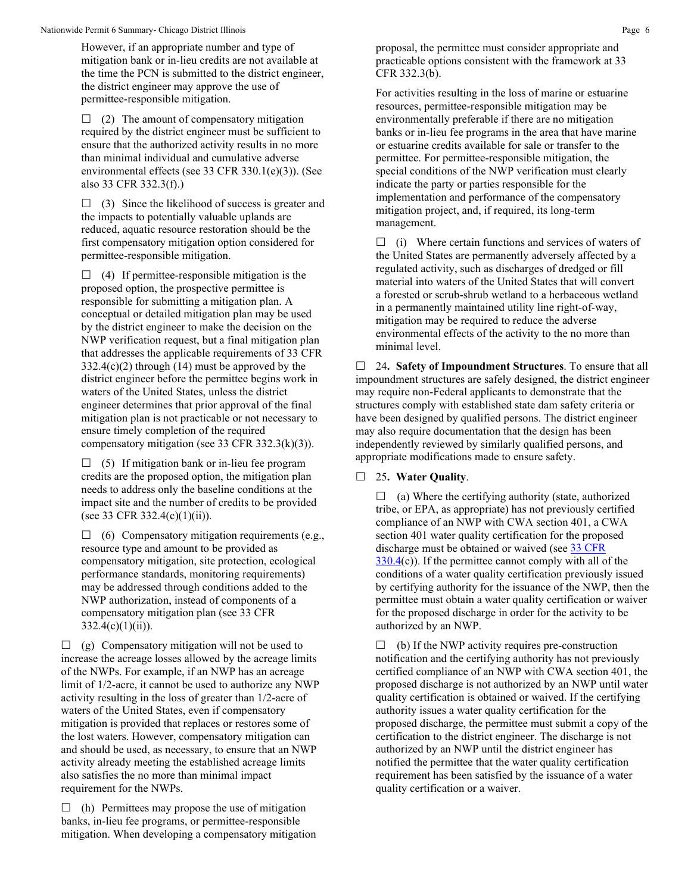However, if an appropriate number and type of mitigation bank or in-lieu credits are not available at the time the PCN is submitted to the district engineer, the district engineer may approve the use of permittee-responsible mitigation.

 $\Box$  (2) The amount of compensatory mitigation required by the district engineer must be sufficient to ensure that the authorized activity results in no more than minimal individual and cumulative adverse environmental effects (see 33 CFR 330.1(e)(3)). (See also 33 CFR 332.3(f).)

 $\Box$  (3) Since the likelihood of success is greater and the impacts to potentially valuable uplands are reduced, aquatic resource restoration should be the first compensatory mitigation option considered for permittee-responsible mitigation.

 $\Box$  (4) If permittee-responsible mitigation is the proposed option, the prospective permittee is responsible for submitting a mitigation plan. A conceptual or detailed mitigation plan may be used by the district engineer to make the decision on the NWP verification request, but a final mitigation plan that addresses the applicable requirements of 33 CFR  $332.4(c)(2)$  through (14) must be approved by the district engineer before the permittee begins work in waters of the United States, unless the district engineer determines that prior approval of the final mitigation plan is not practicable or not necessary to ensure timely completion of the required compensatory mitigation (see 33 CFR 332.3(k)(3)).

 $\Box$  (5) If mitigation bank or in-lieu fee program credits are the proposed option, the mitigation plan needs to address only the baseline conditions at the impact site and the number of credits to be provided (see 33 CFR 332.4(c)(1)(ii)).

 $\Box$  (6) Compensatory mitigation requirements (e.g., resource type and amount to be provided as compensatory mitigation, site protection, ecological performance standards, monitoring requirements) may be addressed through conditions added to the NWP authorization, instead of components of a compensatory mitigation plan (see 33 CFR  $332.4(c)(1)(ii)$ ).

 $\Box$  (g) Compensatory mitigation will not be used to increase the acreage losses allowed by the acreage limits of the NWPs. For example, if an NWP has an acreage limit of 1/2-acre, it cannot be used to authorize any NWP activity resulting in the loss of greater than 1/2-acre of waters of the United States, even if compensatory mitigation is provided that replaces or restores some of the lost waters. However, compensatory mitigation can and should be used, as necessary, to ensure that an NWP activity already meeting the established acreage limits also satisfies the no more than minimal impact requirement for the NWPs.

 $\Box$  (h) Permittees may propose the use of mitigation banks, in-lieu fee programs, or permittee-responsible mitigation. When developing a compensatory mitigation proposal, the permittee must consider appropriate and practicable options consistent with the framework at 33 CFR 332.3(b).

For activities resulting in the loss of marine or estuarine resources, permittee-responsible mitigation may be environmentally preferable if there are no mitigation banks or in-lieu fee programs in the area that have marine or estuarine credits available for sale or transfer to the permittee. For permittee-responsible mitigation, the special conditions of the NWP verification must clearly indicate the party or parties responsible for the implementation and performance of the compensatory mitigation project, and, if required, its long-term management.

 $\Box$  (i) Where certain functions and services of waters of the United States are permanently adversely affected by a regulated activity, such as discharges of dredged or fill material into waters of the United States that will convert a forested or scrub-shrub wetland to a herbaceous wetland in a permanently maintained utility line right-of-way, mitigation may be required to reduce the adverse environmental effects of the activity to the no more than minimal level.

 24**. Safety of Impoundment Structures**. To ensure that all impoundment structures are safely designed, the district engineer may require non-Federal applicants to demonstrate that the structures comply with established state dam safety criteria or have been designed by qualified persons. The district engineer may also require documentation that the design has been independently reviewed by similarly qualified persons, and appropriate modifications made to ensure safety.

# 25**. Water Quality**.

 $\Box$  (a) Where the certifying authority (state, authorized tribe, or EPA, as appropriate) has not previously certified compliance of an NWP with CWA section 401, a CWA section 401 water quality certification for the proposed discharge must be obtained or waived (see [33 CFR](https://www.federalregister.gov/select-citation/2021/01/13/33-CFR-330.4)   $330.4(c)$  $330.4(c)$ ). If the permittee cannot comply with all of the conditions of a water quality certification previously issued by certifying authority for the issuance of the NWP, then the permittee must obtain a water quality certification or waiver for the proposed discharge in order for the activity to be authorized by an NWP.

 $\Box$  (b) If the NWP activity requires pre-construction notification and the certifying authority has not previously certified compliance of an NWP with CWA section 401, the proposed discharge is not authorized by an NWP until water quality certification is obtained or waived. If the certifying authority issues a water quality certification for the proposed discharge, the permittee must submit a copy of the certification to the district engineer. The discharge is not authorized by an NWP until the district engineer has notified the permittee that the water quality certification requirement has been satisfied by the issuance of a water quality certification or a waiver.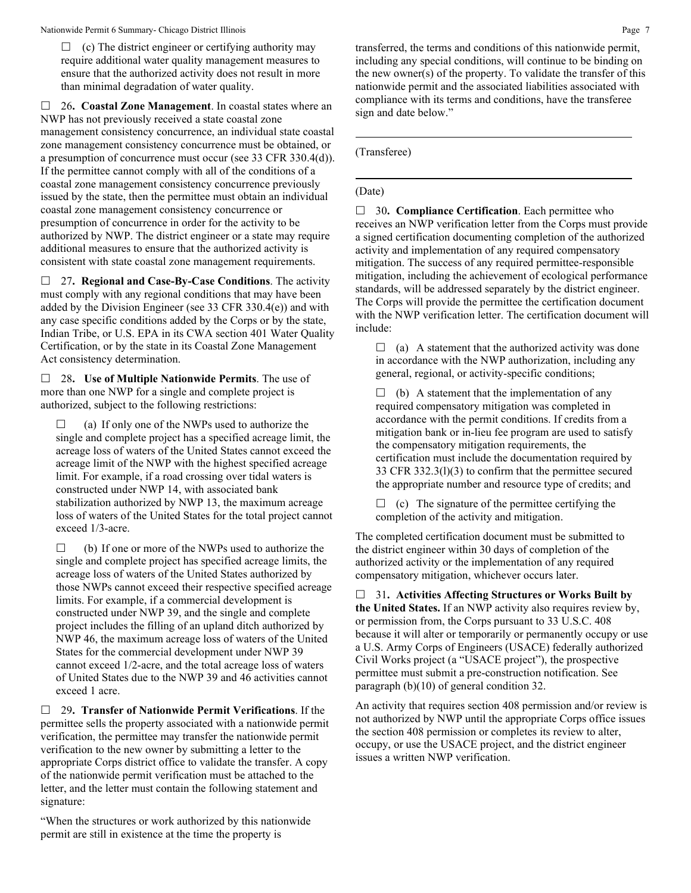$\Box$  (c) The district engineer or certifying authority may require additional water quality management measures to ensure that the authorized activity does not result in more than minimal degradation of water quality.

 26**. Coastal Zone Management**. In coastal states where an NWP has not previously received a state coastal zone management consistency concurrence, an individual state coastal zone management consistency concurrence must be obtained, or a presumption of concurrence must occur (see 33 CFR 330.4(d)). If the permittee cannot comply with all of the conditions of a coastal zone management consistency concurrence previously issued by the state, then the permittee must obtain an individual coastal zone management consistency concurrence or presumption of concurrence in order for the activity to be authorized by NWP. The district engineer or a state may require additional measures to ensure that the authorized activity is consistent with state coastal zone management requirements.

 27**. Regional and Case-By-Case Conditions**. The activity must comply with any regional conditions that may have been added by the Division Engineer (see 33 CFR 330.4(e)) and with any case specific conditions added by the Corps or by the state, Indian Tribe, or U.S. EPA in its CWA section 401 Water Quality Certification, or by the state in its Coastal Zone Management Act consistency determination.

 28**. Use of Multiple Nationwide Permits**. The use of more than one NWP for a single and complete project is authorized, subject to the following restrictions:

 $\Box$  (a) If only one of the NWPs used to authorize the single and complete project has a specified acreage limit, the acreage loss of waters of the United States cannot exceed the acreage limit of the NWP with the highest specified acreage limit. For example, if a road crossing over tidal waters is constructed under NWP 14, with associated bank stabilization authorized by NWP 13, the maximum acreage loss of waters of the United States for the total project cannot exceed 1/3-acre.

 $\Box$  (b) If one or more of the NWPs used to authorize the single and complete project has specified acreage limits, the acreage loss of waters of the United States authorized by those NWPs cannot exceed their respective specified acreage limits. For example, if a commercial development is constructed under NWP 39, and the single and complete project includes the filling of an upland ditch authorized by NWP 46, the maximum acreage loss of waters of the United States for the commercial development under NWP 39 cannot exceed 1/2-acre, and the total acreage loss of waters of United States due to the NWP 39 and 46 activities cannot exceed 1 acre.

 29**. Transfer of Nationwide Permit Verifications**. If the permittee sells the property associated with a nationwide permit verification, the permittee may transfer the nationwide permit verification to the new owner by submitting a letter to the appropriate Corps district office to validate the transfer. A copy of the nationwide permit verification must be attached to the letter, and the letter must contain the following statement and signature:

"When the structures or work authorized by this nationwide permit are still in existence at the time the property is

transferred, the terms and conditions of this nationwide permit, including any special conditions, will continue to be binding on the new owner(s) of the property. To validate the transfer of this nationwide permit and the associated liabilities associated with

(Transferee)

sign and date below."

## (Date)

□ 30. **Compliance Certification**. Each permittee who receives an NWP verification letter from the Corps must provide a signed certification documenting completion of the authorized activity and implementation of any required compensatory mitigation. The success of any required permittee-responsible mitigation, including the achievement of ecological performance standards, will be addressed separately by the district engineer. The Corps will provide the permittee the certification document with the NWP verification letter. The certification document will include:

compliance with its terms and conditions, have the transferee

 $\Box$  (a) A statement that the authorized activity was done in accordance with the NWP authorization, including any general, regional, or activity-specific conditions;

 $\Box$  (b) A statement that the implementation of any required compensatory mitigation was completed in accordance with the permit conditions. If credits from a mitigation bank or in-lieu fee program are used to satisfy the compensatory mitigation requirements, the certification must include the documentation required by 33 CFR 332.3(l)(3) to confirm that the permittee secured the appropriate number and resource type of credits; and

 $\Box$  (c) The signature of the permittee certifying the completion of the activity and mitigation.

The completed certification document must be submitted to the district engineer within 30 days of completion of the authorized activity or the implementation of any required compensatory mitigation, whichever occurs later.

 31**. Activities Affecting Structures or Works Built by the United States.** If an NWP activity also requires review by, or permission from, the Corps pursuant to 33 U.S.C. 408 because it will alter or temporarily or permanently occupy or use a U.S. Army Corps of Engineers (USACE) federally authorized Civil Works project (a "USACE project"), the prospective permittee must submit a pre-construction notification. See paragraph (b)(10) of general condition 32.

An activity that requires section 408 permission and/or review is not authorized by NWP until the appropriate Corps office issues the section 408 permission or completes its review to alter, occupy, or use the USACE project, and the district engineer issues a written NWP verification.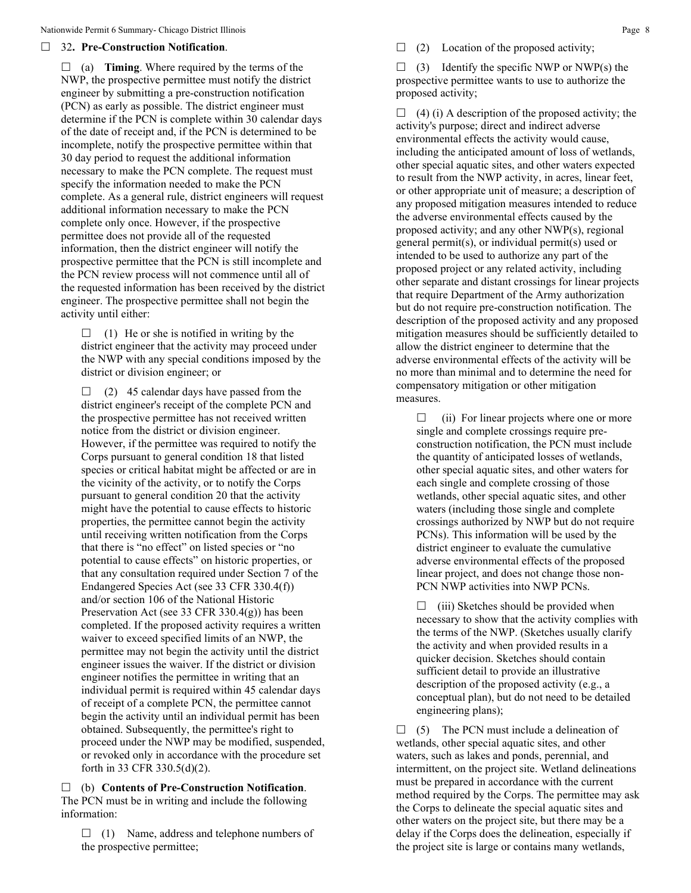### 32**. Pre-Construction Notification**.

 $\Box$  (a) **Timing**. Where required by the terms of the NWP, the prospective permittee must notify the district engineer by submitting a pre-construction notification (PCN) as early as possible. The district engineer must determine if the PCN is complete within 30 calendar days of the date of receipt and, if the PCN is determined to be incomplete, notify the prospective permittee within that 30 day period to request the additional information necessary to make the PCN complete. The request must specify the information needed to make the PCN complete. As a general rule, district engineers will request additional information necessary to make the PCN complete only once. However, if the prospective permittee does not provide all of the requested information, then the district engineer will notify the prospective permittee that the PCN is still incomplete and the PCN review process will not commence until all of the requested information has been received by the district engineer. The prospective permittee shall not begin the activity until either:

 $\Box$  (1) He or she is notified in writing by the district engineer that the activity may proceed under the NWP with any special conditions imposed by the district or division engineer; or

 $\Box$  (2) 45 calendar days have passed from the district engineer's receipt of the complete PCN and the prospective permittee has not received written notice from the district or division engineer. However, if the permittee was required to notify the Corps pursuant to general condition 18 that listed species or critical habitat might be affected or are in the vicinity of the activity, or to notify the Corps pursuant to general condition 20 that the activity might have the potential to cause effects to historic properties, the permittee cannot begin the activity until receiving written notification from the Corps that there is "no effect" on listed species or "no potential to cause effects" on historic properties, or that any consultation required under Section 7 of the Endangered Species Act (see 33 CFR 330.4(f)) and/or section 106 of the National Historic Preservation Act (see 33 CFR 330.4(g)) has been completed. If the proposed activity requires a written waiver to exceed specified limits of an NWP, the permittee may not begin the activity until the district engineer issues the waiver. If the district or division engineer notifies the permittee in writing that an individual permit is required within 45 calendar days of receipt of a complete PCN, the permittee cannot begin the activity until an individual permit has been obtained. Subsequently, the permittee's right to proceed under the NWP may be modified, suspended, or revoked only in accordance with the procedure set forth in 33 CFR 330.5(d)(2).

 (b) **Contents of Pre-Construction Notification**. The PCN must be in writing and include the following information:

 $\Box$  (1) Name, address and telephone numbers of the prospective permittee;

 $\Box$  (2) Location of the proposed activity;

 $\Box$  (3) Identify the specific NWP or NWP(s) the prospective permittee wants to use to authorize the proposed activity;

 $\Box$  (4) (i) A description of the proposed activity; the activity's purpose; direct and indirect adverse environmental effects the activity would cause, including the anticipated amount of loss of wetlands, other special aquatic sites, and other waters expected to result from the NWP activity, in acres, linear feet, or other appropriate unit of measure; a description of any proposed mitigation measures intended to reduce the adverse environmental effects caused by the proposed activity; and any other NWP(s), regional general permit(s), or individual permit(s) used or intended to be used to authorize any part of the proposed project or any related activity, including other separate and distant crossings for linear projects that require Department of the Army authorization but do not require pre-construction notification. The description of the proposed activity and any proposed mitigation measures should be sufficiently detailed to allow the district engineer to determine that the adverse environmental effects of the activity will be no more than minimal and to determine the need for compensatory mitigation or other mitigation measures.

 $\Box$  (ii) For linear projects where one or more single and complete crossings require preconstruction notification, the PCN must include the quantity of anticipated losses of wetlands, other special aquatic sites, and other waters for each single and complete crossing of those wetlands, other special aquatic sites, and other waters (including those single and complete crossings authorized by NWP but do not require PCNs). This information will be used by the district engineer to evaluate the cumulative adverse environmental effects of the proposed linear project, and does not change those non-PCN NWP activities into NWP PCNs.

 $\Box$  (iii) Sketches should be provided when necessary to show that the activity complies with the terms of the NWP. (Sketches usually clarify the activity and when provided results in a quicker decision. Sketches should contain sufficient detail to provide an illustrative description of the proposed activity (e.g., a conceptual plan), but do not need to be detailed engineering plans);

 $\Box$  (5) The PCN must include a delineation of wetlands, other special aquatic sites, and other waters, such as lakes and ponds, perennial, and intermittent, on the project site. Wetland delineations must be prepared in accordance with the current method required by the Corps. The permittee may ask the Corps to delineate the special aquatic sites and other waters on the project site, but there may be a delay if the Corps does the delineation, especially if the project site is large or contains many wetlands,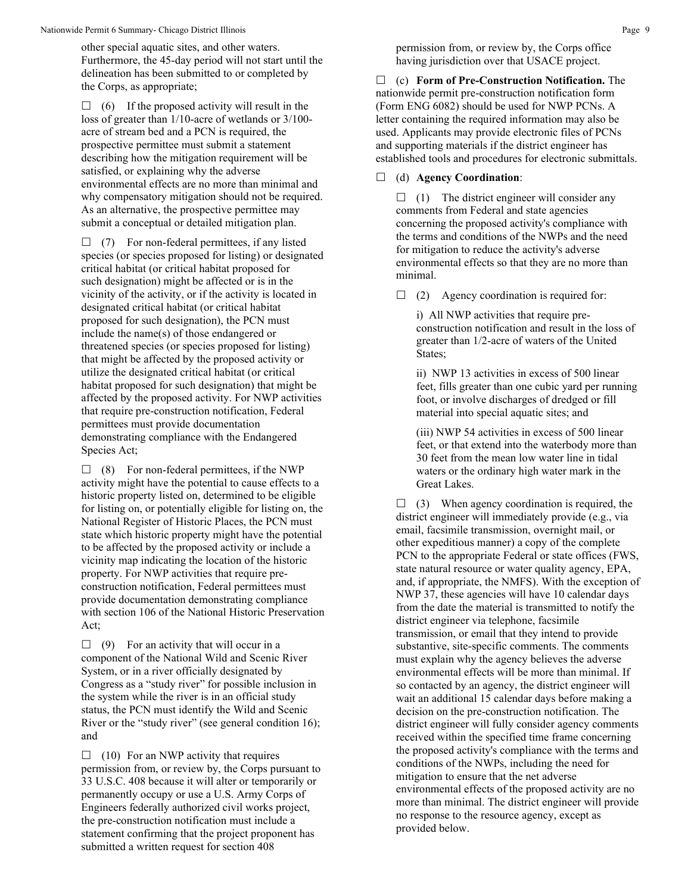other special aquatic sites, and other waters. Furthermore, the 45-day period will not start until the delineation has been submitted to or completed by the Corps, as appropriate;

 $\Box$  (6) If the proposed activity will result in the loss of greater than 1/10-acre of wetlands or 3/100 acre of stream bed and a PCN is required, the prospective permittee must submit a statement describing how the mitigation requirement will be satisfied, or explaining why the adverse environmental effects are no more than minimal and why compensatory mitigation should not be required. As an alternative, the prospective permittee may submit a conceptual or detailed mitigation plan.

 $\Box$  (7) For non-federal permittees, if any listed species (or species proposed for listing) or designated critical habitat (or critical habitat proposed for such designation) might be affected or is in the vicinity of the activity, or if the activity is located in designated critical habitat (or critical habitat proposed for such designation), the PCN must include the name(s) of those endangered or threatened species (or species proposed for listing) that might be affected by the proposed activity or utilize the designated critical habitat (or critical habitat proposed for such designation) that might be affected by the proposed activity. For NWP activities that require pre-construction notification, Federal permittees must provide documentation demonstrating compliance with the Endangered Species Act;

 $\Box$  (8) For non-federal permittees, if the NWP activity might have the potential to cause effects to a historic property listed on, determined to be eligible for listing on, or potentially eligible for listing on, the National Register of Historic Places, the PCN must state which historic property might have the potential to be affected by the proposed activity or include a vicinity map indicating the location of the historic property. For NWP activities that require preconstruction notification, Federal permittees must provide documentation demonstrating compliance with section 106 of the National Historic Preservation Act;

 $\Box$  (9) For an activity that will occur in a component of the National Wild and Scenic River System, or in a river officially designated by Congress as a "study river" for possible inclusion in the system while the river is in an official study status, the PCN must identify the Wild and Scenic River or the "study river" (see general condition 16); and

 $\Box$  (10) For an NWP activity that requires permission from, or review by, the Corps pursuant to 33 U.S.C. 408 because it will alter or temporarily or permanently occupy or use a U.S. Army Corps of Engineers federally authorized civil works project, the pre-construction notification must include a statement confirming that the project proponent has submitted a written request for section 408

permission from, or review by, the Corps office having jurisdiction over that USACE project.

 (c) **Form of Pre-Construction Notification.** The nationwide permit pre-construction notification form (Form ENG 6082) should be used for NWP PCNs. A letter containing the required information may also be used. Applicants may provide electronic files of PCNs and supporting materials if the district engineer has established tools and procedures for electronic submittals.

(d) **Agency Coordination**:

 $\Box$  (1) The district engineer will consider any comments from Federal and state agencies concerning the proposed activity's compliance with the terms and conditions of the NWPs and the need for mitigation to reduce the activity's adverse environmental effects so that they are no more than minimal.

 $\Box$  (2) Agency coordination is required for:

i) All NWP activities that require preconstruction notification and result in the loss of greater than 1/2-acre of waters of the United States;

ii) NWP 13 activities in excess of 500 linear feet, fills greater than one cubic yard per running foot, or involve discharges of dredged or fill material into special aquatic sites; and

(iii) NWP 54 activities in excess of 500 linear feet, or that extend into the waterbody more than 30 feet from the mean low water line in tidal waters or the ordinary high water mark in the Great Lakes.

 $\Box$  (3) When agency coordination is required, the district engineer will immediately provide (e.g., via email, facsimile transmission, overnight mail, or other expeditious manner) a copy of the complete PCN to the appropriate Federal or state offices (FWS, state natural resource or water quality agency, EPA, and, if appropriate, the NMFS). With the exception of NWP 37, these agencies will have 10 calendar days from the date the material is transmitted to notify the district engineer via telephone, facsimile transmission, or email that they intend to provide substantive, site-specific comments. The comments must explain why the agency believes the adverse environmental effects will be more than minimal. If so contacted by an agency, the district engineer will wait an additional 15 calendar days before making a decision on the pre-construction notification. The district engineer will fully consider agency comments received within the specified time frame concerning the proposed activity's compliance with the terms and conditions of the NWPs, including the need for mitigation to ensure that the net adverse environmental effects of the proposed activity are no more than minimal. The district engineer will provide no response to the resource agency, except as provided below.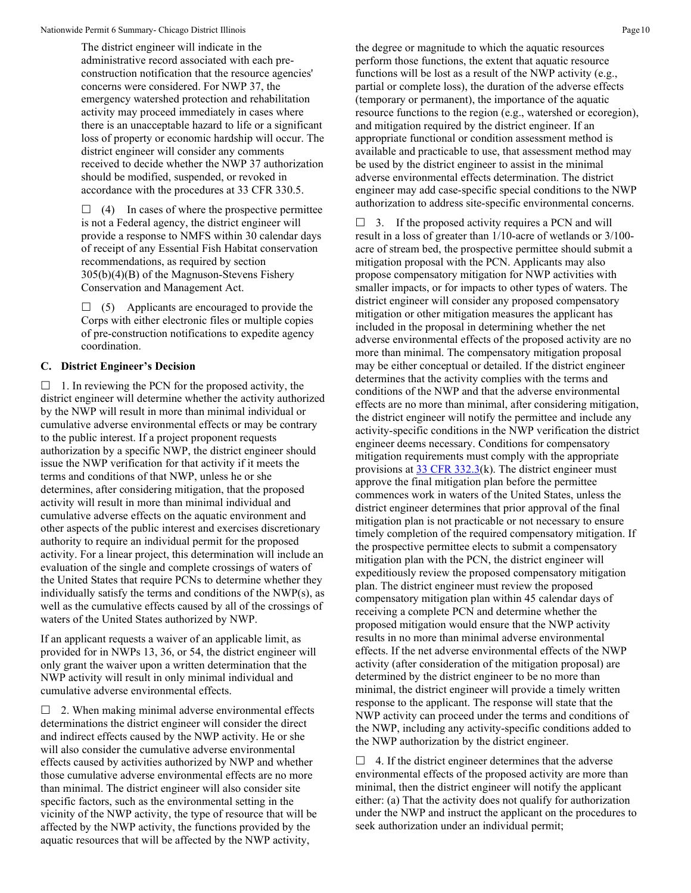The district engineer will indicate in the administrative record associated with each preconstruction notification that the resource agencies' concerns were considered. For NWP 37, the emergency watershed protection and rehabilitation activity may proceed immediately in cases where there is an unacceptable hazard to life or a significant loss of property or economic hardship will occur. The district engineer will consider any comments received to decide whether the NWP 37 authorization should be modified, suspended, or revoked in accordance with the procedures at 33 CFR 330.5.

 $\Box$  (4) In cases of where the prospective permittee is not a Federal agency, the district engineer will provide a response to NMFS within 30 calendar days of receipt of any Essential Fish Habitat conservation recommendations, as required by section 305(b)(4)(B) of the Magnuson-Stevens Fishery Conservation and Management Act.

 $\Box$  (5) Applicants are encouraged to provide the Corps with either electronic files or multiple copies of pre-construction notifications to expedite agency coordination.

### **C. District Engineer's Decision**

 $\Box$  1. In reviewing the PCN for the proposed activity, the district engineer will determine whether the activity authorized by the NWP will result in more than minimal individual or cumulative adverse environmental effects or may be contrary to the public interest. If a project proponent requests authorization by a specific NWP, the district engineer should issue the NWP verification for that activity if it meets the terms and conditions of that NWP, unless he or she determines, after considering mitigation, that the proposed activity will result in more than minimal individual and cumulative adverse effects on the aquatic environment and other aspects of the public interest and exercises discretionary authority to require an individual permit for the proposed activity. For a linear project, this determination will include an evaluation of the single and complete crossings of waters of the United States that require PCNs to determine whether they individually satisfy the terms and conditions of the NWP(s), as well as the cumulative effects caused by all of the crossings of waters of the United States authorized by NWP.

If an applicant requests a waiver of an applicable limit, as provided for in NWPs 13, 36, or 54, the district engineer will only grant the waiver upon a written determination that the NWP activity will result in only minimal individual and cumulative adverse environmental effects.

 $\Box$  2. When making minimal adverse environmental effects determinations the district engineer will consider the direct and indirect effects caused by the NWP activity. He or she will also consider the cumulative adverse environmental effects caused by activities authorized by NWP and whether those cumulative adverse environmental effects are no more than minimal. The district engineer will also consider site specific factors, such as the environmental setting in the vicinity of the NWP activity, the type of resource that will be affected by the NWP activity, the functions provided by the aquatic resources that will be affected by the NWP activity,

the degree or magnitude to which the aquatic resources perform those functions, the extent that aquatic resource functions will be lost as a result of the NWP activity (e.g., partial or complete loss), the duration of the adverse effects (temporary or permanent), the importance of the aquatic resource functions to the region (e.g., watershed or ecoregion), and mitigation required by the district engineer. If an appropriate functional or condition assessment method is available and practicable to use, that assessment method may be used by the district engineer to assist in the minimal adverse environmental effects determination. The district engineer may add case-specific special conditions to the NWP authorization to address site-specific environmental concerns.

 $\Box$  3. If the proposed activity requires a PCN and will result in a loss of greater than 1/10-acre of wetlands or 3/100 acre of stream bed, the prospective permittee should submit a mitigation proposal with the PCN. Applicants may also propose compensatory mitigation for NWP activities with smaller impacts, or for impacts to other types of waters. The district engineer will consider any proposed compensatory mitigation or other mitigation measures the applicant has included in the proposal in determining whether the net adverse environmental effects of the proposed activity are no more than minimal. The compensatory mitigation proposal may be either conceptual or detailed. If the district engineer determines that the activity complies with the terms and conditions of the NWP and that the adverse environmental effects are no more than minimal, after considering mitigation, the district engineer will notify the permittee and include any activity-specific conditions in the NWP verification the district engineer deems necessary. Conditions for compensatory mitigation requirements must comply with the appropriate provisions at  $33 \text{ CFR } 332.3$ (k). The district engineer must approve the final mitigation plan before the permittee commences work in waters of the United States, unless the district engineer determines that prior approval of the final mitigation plan is not practicable or not necessary to ensure timely completion of the required compensatory mitigation. If the prospective permittee elects to submit a compensatory mitigation plan with the PCN, the district engineer will expeditiously review the proposed compensatory mitigation plan. The district engineer must review the proposed compensatory mitigation plan within 45 calendar days of receiving a complete PCN and determine whether the proposed mitigation would ensure that the NWP activity results in no more than minimal adverse environmental effects. If the net adverse environmental effects of the NWP activity (after consideration of the mitigation proposal) are determined by the district engineer to be no more than minimal, the district engineer will provide a timely written response to the applicant. The response will state that the NWP activity can proceed under the terms and conditions of the NWP, including any activity-specific conditions added to the NWP authorization by the district engineer.

 $\Box$  4. If the district engineer determines that the adverse environmental effects of the proposed activity are more than minimal, then the district engineer will notify the applicant either: (a) That the activity does not qualify for authorization under the NWP and instruct the applicant on the procedures to seek authorization under an individual permit;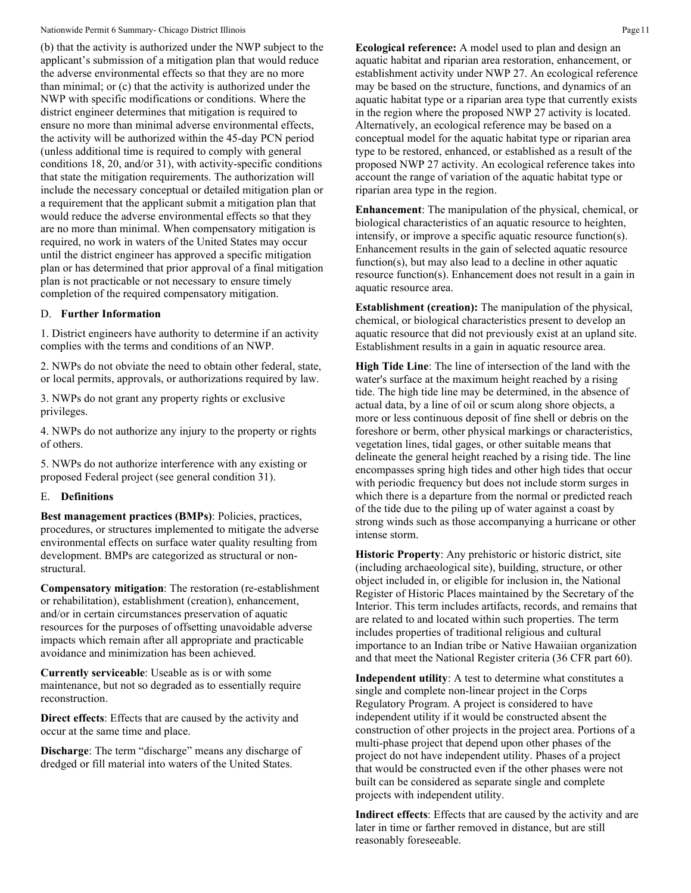#### Nationwide Permit 6 Summary- Chicago District Illinois **Page 11** and the state of the state of the Page 11 and the Permit 6 Summary- Chicago District Illinois **Page 11**

(b) that the activity is authorized under the NWP subject to the applicant's submission of a mitigation plan that would reduce the adverse environmental effects so that they are no more than minimal; or (c) that the activity is authorized under the NWP with specific modifications or conditions. Where the district engineer determines that mitigation is required to ensure no more than minimal adverse environmental effects, the activity will be authorized within the 45-day PCN period (unless additional time is required to comply with general conditions 18, 20, and/or 31), with activity-specific conditions that state the mitigation requirements. The authorization will include the necessary conceptual or detailed mitigation plan or a requirement that the applicant submit a mitigation plan that would reduce the adverse environmental effects so that they are no more than minimal. When compensatory mitigation is required, no work in waters of the United States may occur until the district engineer has approved a specific mitigation plan or has determined that prior approval of a final mitigation plan is not practicable or not necessary to ensure timely completion of the required compensatory mitigation.

#### D. **Further Information**

1. District engineers have authority to determine if an activity complies with the terms and conditions of an NWP.

2. NWPs do not obviate the need to obtain other federal, state, or local permits, approvals, or authorizations required by law.

3. NWPs do not grant any property rights or exclusive privileges.

4. NWPs do not authorize any injury to the property or rights of others.

5. NWPs do not authorize interference with any existing or proposed Federal project (see general condition 31).

#### E. **Definitions**

**Best management practices (BMPs)**: Policies, practices, procedures, or structures implemented to mitigate the adverse environmental effects on surface water quality resulting from development. BMPs are categorized as structural or nonstructural.

**Compensatory mitigation**: The restoration (re-establishment or rehabilitation), establishment (creation), enhancement, and/or in certain circumstances preservation of aquatic resources for the purposes of offsetting unavoidable adverse impacts which remain after all appropriate and practicable avoidance and minimization has been achieved.

**Currently serviceable**: Useable as is or with some maintenance, but not so degraded as to essentially require reconstruction.

**Direct effects**: Effects that are caused by the activity and occur at the same time and place.

**Discharge:** The term "discharge" means any discharge of dredged or fill material into waters of the United States.

**Ecological reference:** A model used to plan and design an aquatic habitat and riparian area restoration, enhancement, or establishment activity under NWP 27. An ecological reference may be based on the structure, functions, and dynamics of an aquatic habitat type or a riparian area type that currently exists in the region where the proposed NWP 27 activity is located. Alternatively, an ecological reference may be based on a conceptual model for the aquatic habitat type or riparian area type to be restored, enhanced, or established as a result of the proposed NWP 27 activity. An ecological reference takes into account the range of variation of the aquatic habitat type or riparian area type in the region.

**Enhancement**: The manipulation of the physical, chemical, or biological characteristics of an aquatic resource to heighten, intensify, or improve a specific aquatic resource function(s). Enhancement results in the gain of selected aquatic resource function(s), but may also lead to a decline in other aquatic resource function(s). Enhancement does not result in a gain in aquatic resource area.

**Establishment (creation):** The manipulation of the physical, chemical, or biological characteristics present to develop an aquatic resource that did not previously exist at an upland site. Establishment results in a gain in aquatic resource area.

**High Tide Line**: The line of intersection of the land with the water's surface at the maximum height reached by a rising tide. The high tide line may be determined, in the absence of actual data, by a line of oil or scum along shore objects, a more or less continuous deposit of fine shell or debris on the foreshore or berm, other physical markings or characteristics, vegetation lines, tidal gages, or other suitable means that delineate the general height reached by a rising tide. The line encompasses spring high tides and other high tides that occur with periodic frequency but does not include storm surges in which there is a departure from the normal or predicted reach of the tide due to the piling up of water against a coast by strong winds such as those accompanying a hurricane or other intense storm.

**Historic Property**: Any prehistoric or historic district, site (including archaeological site), building, structure, or other object included in, or eligible for inclusion in, the National Register of Historic Places maintained by the Secretary of the Interior. This term includes artifacts, records, and remains that are related to and located within such properties. The term includes properties of traditional religious and cultural importance to an Indian tribe or Native Hawaiian organization and that meet the National Register criteria (36 CFR part 60).

**Independent utility**: A test to determine what constitutes a single and complete non-linear project in the Corps Regulatory Program. A project is considered to have independent utility if it would be constructed absent the construction of other projects in the project area. Portions of a multi-phase project that depend upon other phases of the project do not have independent utility. Phases of a project that would be constructed even if the other phases were not built can be considered as separate single and complete projects with independent utility.

**Indirect effects**: Effects that are caused by the activity and are later in time or farther removed in distance, but are still reasonably foreseeable.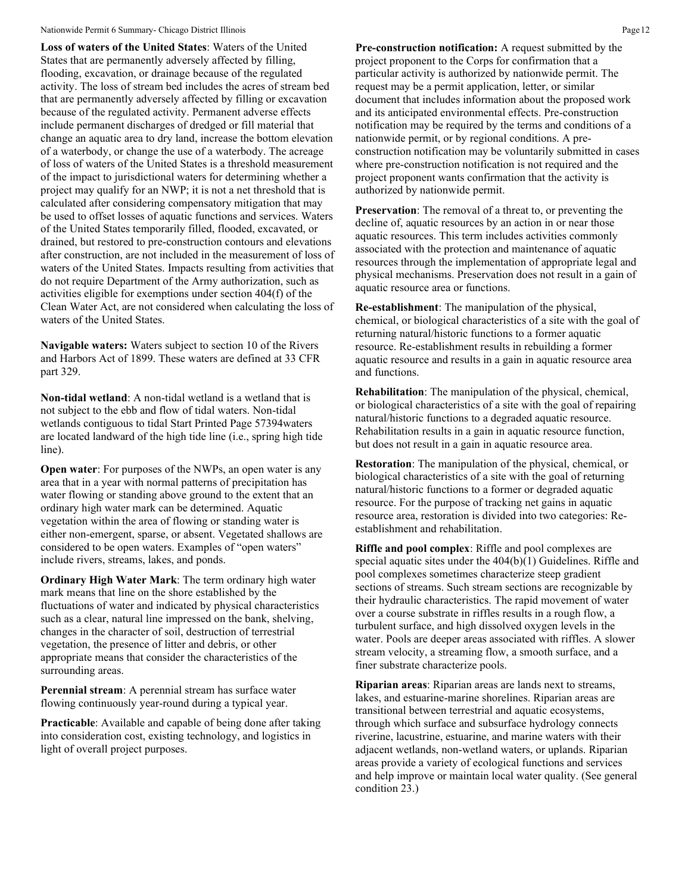#### Nationwide Permit 6 Summary- Chicago District Illinois **Page 12** Page 12

**Loss of waters of the United States**: Waters of the United States that are permanently adversely affected by filling, flooding, excavation, or drainage because of the regulated activity. The loss of stream bed includes the acres of stream bed that are permanently adversely affected by filling or excavation because of the regulated activity. Permanent adverse effects include permanent discharges of dredged or fill material that change an aquatic area to dry land, increase the bottom elevation of a waterbody, or change the use of a waterbody. The acreage of loss of waters of the United States is a threshold measurement of the impact to jurisdictional waters for determining whether a project may qualify for an NWP; it is not a net threshold that is calculated after considering compensatory mitigation that may be used to offset losses of aquatic functions and services. Waters of the United States temporarily filled, flooded, excavated, or drained, but restored to pre-construction contours and elevations after construction, are not included in the measurement of loss of waters of the United States. Impacts resulting from activities that do not require Department of the Army authorization, such as activities eligible for exemptions under section 404(f) of the Clean Water Act, are not considered when calculating the loss of waters of the United States.

**Navigable waters:** Waters subject to section 10 of the Rivers and Harbors Act of 1899. These waters are defined at 33 CFR part 329.

**Non-tidal wetland**: A non-tidal wetland is a wetland that is not subject to the ebb and flow of tidal waters. Non-tidal wetlands contiguous to tidal Start Printed Page 57394waters are located landward of the high tide line (i.e., spring high tide line).

**Open water:** For purposes of the NWPs, an open water is any area that in a year with normal patterns of precipitation has water flowing or standing above ground to the extent that an ordinary high water mark can be determined. Aquatic vegetation within the area of flowing or standing water is either non-emergent, sparse, or absent. Vegetated shallows are considered to be open waters. Examples of "open waters" include rivers, streams, lakes, and ponds.

**Ordinary High Water Mark**: The term ordinary high water mark means that line on the shore established by the fluctuations of water and indicated by physical characteristics such as a clear, natural line impressed on the bank, shelving, changes in the character of soil, destruction of terrestrial vegetation, the presence of litter and debris, or other appropriate means that consider the characteristics of the surrounding areas.

**Perennial stream**: A perennial stream has surface water flowing continuously year-round during a typical year.

**Practicable:** Available and capable of being done after taking into consideration cost, existing technology, and logistics in light of overall project purposes.

**Pre-construction notification:** A request submitted by the project proponent to the Corps for confirmation that a particular activity is authorized by nationwide permit. The request may be a permit application, letter, or similar document that includes information about the proposed work and its anticipated environmental effects. Pre-construction notification may be required by the terms and conditions of a nationwide permit, or by regional conditions. A preconstruction notification may be voluntarily submitted in cases where pre-construction notification is not required and the project proponent wants confirmation that the activity is authorized by nationwide permit.

**Preservation**: The removal of a threat to, or preventing the decline of, aquatic resources by an action in or near those aquatic resources. This term includes activities commonly associated with the protection and maintenance of aquatic resources through the implementation of appropriate legal and physical mechanisms. Preservation does not result in a gain of aquatic resource area or functions.

**Re-establishment**: The manipulation of the physical, chemical, or biological characteristics of a site with the goal of returning natural/historic functions to a former aquatic resource. Re-establishment results in rebuilding a former aquatic resource and results in a gain in aquatic resource area and functions.

**Rehabilitation**: The manipulation of the physical, chemical, or biological characteristics of a site with the goal of repairing natural/historic functions to a degraded aquatic resource. Rehabilitation results in a gain in aquatic resource function, but does not result in a gain in aquatic resource area.

**Restoration**: The manipulation of the physical, chemical, or biological characteristics of a site with the goal of returning natural/historic functions to a former or degraded aquatic resource. For the purpose of tracking net gains in aquatic resource area, restoration is divided into two categories: Reestablishment and rehabilitation.

**Riffle and pool complex**: Riffle and pool complexes are special aquatic sites under the 404(b)(1) Guidelines. Riffle and pool complexes sometimes characterize steep gradient sections of streams. Such stream sections are recognizable by their hydraulic characteristics. The rapid movement of water over a course substrate in riffles results in a rough flow, a turbulent surface, and high dissolved oxygen levels in the water. Pools are deeper areas associated with riffles. A slower stream velocity, a streaming flow, a smooth surface, and a finer substrate characterize pools.

**Riparian areas**: Riparian areas are lands next to streams, lakes, and estuarine-marine shorelines. Riparian areas are transitional between terrestrial and aquatic ecosystems, through which surface and subsurface hydrology connects riverine, lacustrine, estuarine, and marine waters with their adjacent wetlands, non-wetland waters, or uplands. Riparian areas provide a variety of ecological functions and services and help improve or maintain local water quality. (See general condition 23.)